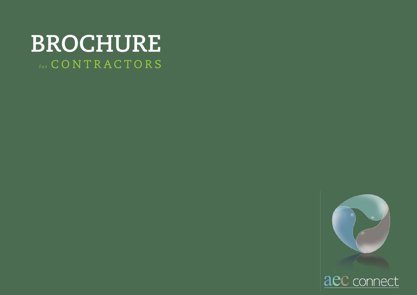# **BROCHURE**  $_{\rm{for}}$   $\rm{C}$   $\rm{O}$   $\rm{N}$   $\rm{T}$   $\rm{R}$   $\rm{A}$   $\rm{C}$   $\rm{T}$   $\rm{O}$   $\rm{R}$   $\rm{S}$



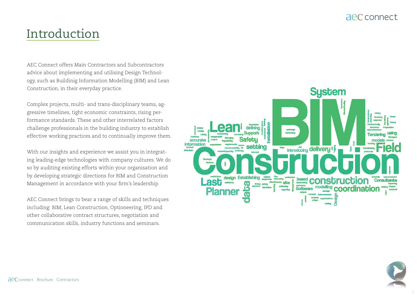### Introduction

AEC Connect offers Main Contractors and Subcontractors advice about implementing and utilising Design Technology, such as Buildinig Information Modelling (BIM) and Lean Construction, in their everyday practice.

Complex projects, multi- and trans-disciplinary teams, aggressive timelines, tight economic constraints, rising performance standards. These and other interrelated factors challenge professionals in the building industry to establish effective working practices and to continually improve them.

With our insights and experience we assist you in integrating leading-edge technologies with company cultures. We do so by auditing existing efforts within your organisation and by developing strategic directions for BIM and Construction Management in accordance with your firm's leadership.

AEC Connect brings to bear a range of skills and techniques including: BIM, Lean Construction, Optioneering, IPD and other collaborative contract structures, negotiation and communication skills, industry functions and seminars.



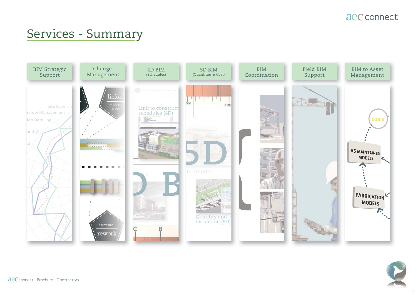## Services - Summary



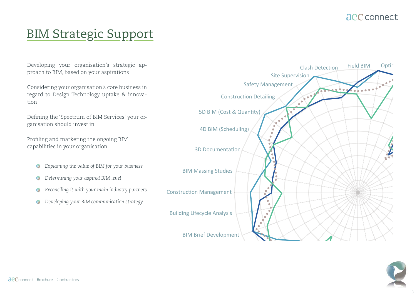#### aec connect

## **BIM Strategic Support**

Developing your organisation's strategic approach to BIM, based on your aspirations

Considering your organisation's core business in regard to Design Technology uptake & innovation

Defining the 'Spectrum of BIM Services' your organisation should invest in

Profiling and marketing the ongoing BIM capabilities in your organisation

- Explaining the value of BIM for your business Q
- Determining your aspired BIM level  $\bullet$
- Reconciling it with your main industry partners  $\bullet$
- Developing your BIM communication strategy  $\bullet$



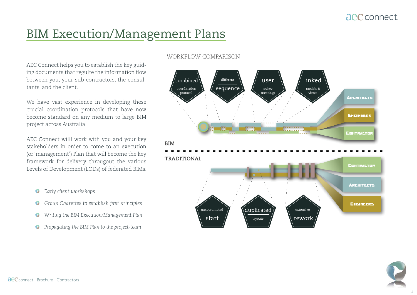## BIM Execution/Management Plans

AEC Connect helps you to establish the key guiding documents that regulte the information flow between you, your sub-contractors, the consultants, and the client.

We have vast experience in developing these crucial coordination protocols that have now become standard on any medium to large BIM project across Australia.

AEC Connect willl work with you and your key stakeholders in order to come to an execution (or 'management') Plan that will become the key framework for delivery througout the various Levels of Development (LODs) of federated BIMs.

- *Early client workshops*  $\bullet$
- *Group Charettes to establish first principles*
- *Writing the BIM Execution/Management Plan*
- *Propagating the BIM Plan to the project-team*

#### WORKFLOW COMPARISON



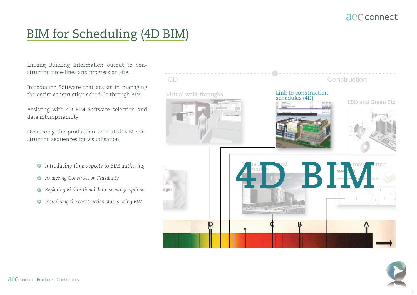## BIM for Scheduling (4D BIM)

Linking Building Information output to construction time-lines and progress on site.

Introducing Software that assists in managing the entire construction schedule through BIM

Assisting with 4D BIM Software selection and data interoperability

Overseeing the production animated BIM construction sequences for visualisation

- *Introducing time aspects to BIM authoring*
- *Analysing Construction Feasibility*
- *Exploring Bi-directional data exchange options*
- *Visualising the construction status using BIM*



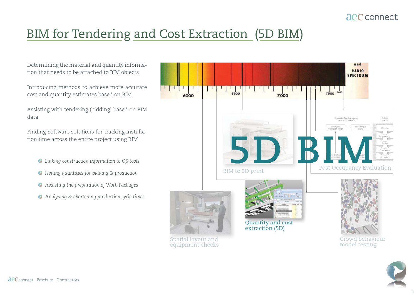## BIM for Tendering and Cost Extraction (5D BIM)

Determining the material and quantity information that needs to be attached to BIM objects

Introducing methods to achieve more accurate cost and quantity estimates based on BIM

Assisting with tendering (bidding) based on BIM data

Finding Software solutions for tracking installation time across the entire project using BIM

- *Linking construction information to QS tools*
- *Issuing quantities for bidding & production*
- *Assisting the preparation of Work Packages*
- *Analysing & shortening production cycle times*



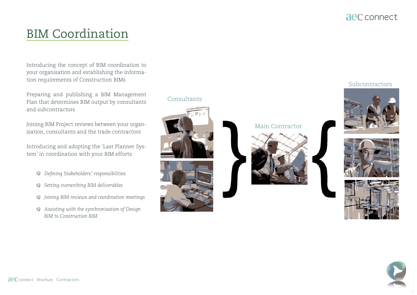## BIM Coordination

Introducing the concept of BIM coordination to your organisation and establishing the information requirements of Construction BIMs

Preparing and publishing a BIM Management Plan that determines BIM output by consultants and subcontractors

Joining BIM Project reviews between your organisation, consultants and the trade contractors

Introducing and adopting the 'Last Planner System' in coordination with your BIM efforts

- *Defining Stakeholders' responsibilities*
- *Setting overarching BIM deliverables*
- *Joining BIM reviews and coordination meetings*
- *Assisting with the synchronisation of Design BIM to Construction BIM*

#### Consultants





Main Contractor



#### Subcontractors







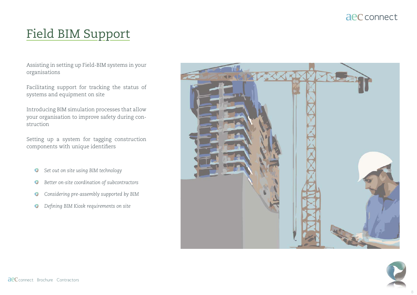## Field BIM Support

Assisting in setting up Field-BIM systems in your organisations

Facilitating support for tracking the status of systems and equipment on site

Introducing BIM simulation processes that allow your organisation to improve safety during construction

Setting up a system for tagging construction components with unique identifiers

- *Set out on site using BIM technology*
- *Better on-site coordination of subcontractors*
- *Considering pre-assembly supported by BIM*
- *Defining BIM Kiosk requirements on site*



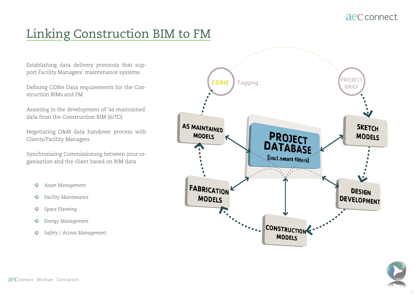### aec connect

## Linking Construction BIM to FM

Establishing data delivery protocols that support Facility Managers' maintenance systems

Defining COBie Data requirements for the Construction BIMs and FM

Assisting in the development of 'as maintained' data from the Construction BIM (6/7D)

Negotiating O&M data handover process with Clients/Facility Managers

Synchronising Commissioning between your organisation and the client based on BIM data

- Asset Management  $\bullet$
- Facility Maintenance  $\bullet$
- Space Planning  $\mathbf{Q}$
- Energy Management  $\bullet$
- Safety / Access Management  $\bullet$